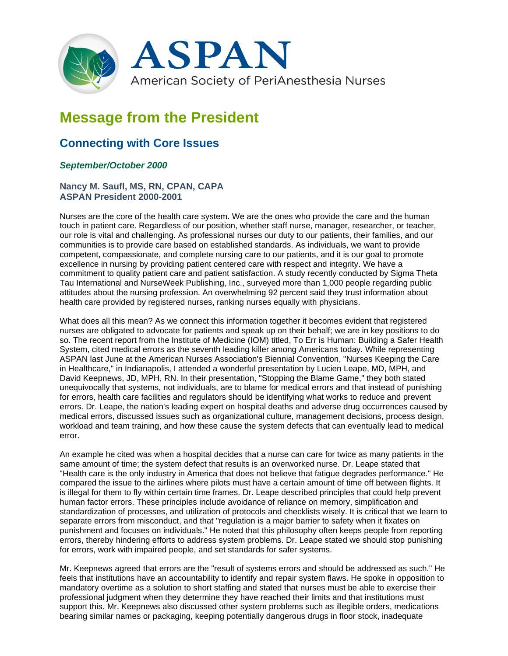

## **Message from the President**

## **Connecting with Core Issues**

## *September/October 2000*

## **Nancy M. Saufl, MS, RN, CPAN, CAPA ASPAN President 2000-2001**

Nurses are the core of the health care system. We are the ones who provide the care and the human touch in patient care. Regardless of our position, whether staff nurse, manager, researcher, or teacher, our role is vital and challenging. As professional nurses our duty to our patients, their families, and our communities is to provide care based on established standards. As individuals, we want to provide competent, compassionate, and complete nursing care to our patients, and it is our goal to promote excellence in nursing by providing patient centered care with respect and integrity. We have a commitment to quality patient care and patient satisfaction. A study recently conducted by Sigma Theta Tau International and NurseWeek Publishing, Inc., surveyed more than 1,000 people regarding public attitudes about the nursing profession. An overwhelming 92 percent said they trust information about health care provided by registered nurses, ranking nurses equally with physicians.

What does all this mean? As we connect this information together it becomes evident that registered nurses are obligated to advocate for patients and speak up on their behalf; we are in key positions to do so. The recent report from the Institute of Medicine (IOM) titled, To Err is Human: Building a Safer Health System, cited medical errors as the seventh leading killer among Americans today. While representing ASPAN last June at the American Nurses Association's Biennial Convention, "Nurses Keeping the Care in Healthcare," in Indianapolis, I attended a wonderful presentation by Lucien Leape, MD, MPH, and David Keepnews, JD, MPH, RN. In their presentation, "Stopping the Blame Game," they both stated unequivocally that systems, not individuals, are to blame for medical errors and that instead of punishing for errors, health care facilities and regulators should be identifying what works to reduce and prevent errors. Dr. Leape, the nation's leading expert on hospital deaths and adverse drug occurrences caused by medical errors, discussed issues such as organizational culture, management decisions, process design, workload and team training, and how these cause the system defects that can eventually lead to medical error.

An example he cited was when a hospital decides that a nurse can care for twice as many patients in the same amount of time; the system defect that results is an overworked nurse. Dr. Leape stated that "Health care is the only industry in America that does not believe that fatigue degrades performance." He compared the issue to the airlines where pilots must have a certain amount of time off between flights. It is illegal for them to fly within certain time frames. Dr. Leape described principles that could help prevent human factor errors. These principles include avoidance of reliance on memory, simplification and standardization of processes, and utilization of protocols and checklists wisely. It is critical that we learn to separate errors from misconduct, and that "regulation is a major barrier to safety when it fixates on punishment and focuses on individuals." He noted that this philosophy often keeps people from reporting errors, thereby hindering efforts to address system problems. Dr. Leape stated we should stop punishing for errors, work with impaired people, and set standards for safer systems.

Mr. Keepnews agreed that errors are the "result of systems errors and should be addressed as such." He feels that institutions have an accountability to identify and repair system flaws. He spoke in opposition to mandatory overtime as a solution to short staffing and stated that nurses must be able to exercise their professional judgment when they determine they have reached their limits and that institutions must support this. Mr. Keepnews also discussed other system problems such as illegible orders, medications bearing similar names or packaging, keeping potentially dangerous drugs in floor stock, inadequate